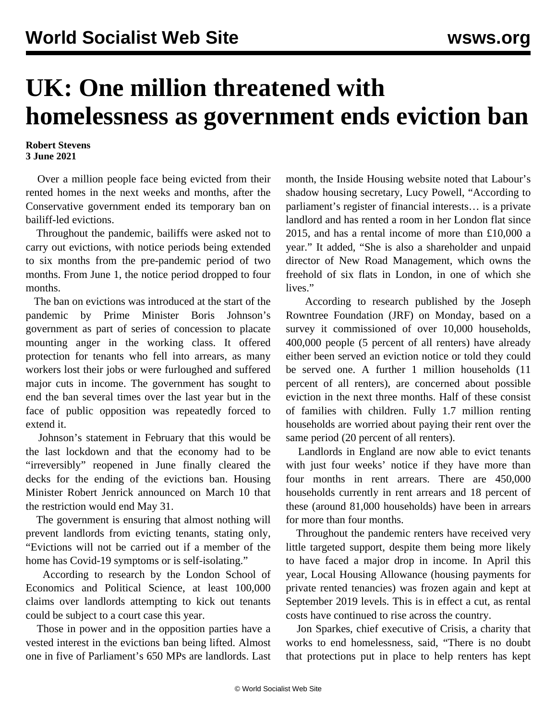## **UK: One million threatened with homelessness as government ends eviction ban**

## **Robert Stevens 3 June 2021**

 Over a million people face being evicted from their rented homes in the next weeks and months, after the Conservative government ended its temporary ban on bailiff-led evictions.

 Throughout the pandemic, bailiffs were asked not to carry out evictions, with notice periods being extended to six months from the pre-pandemic period of two months. From June 1, the notice period dropped to four months.

 The ban on evictions was introduced at the start of the pandemic by Prime Minister Boris Johnson's government as part of series of concession to placate mounting anger in the working class. It offered protection for tenants who fell into arrears, as many workers lost their jobs or were furloughed and suffered major cuts in income. The government has sought to end the ban several times over the last year but in the face of public opposition was repeatedly forced to extend it.

 Johnson's statement in February that this would be the last lockdown and that the economy had to be "irreversibly" reopened in June finally cleared the decks for the ending of the evictions ban. Housing Minister Robert Jenrick announced on March 10 that the restriction would end May 31.

 The government is ensuring that almost nothing will prevent landlords from evicting tenants, stating only, "Evictions will not be carried out if a member of the home has Covid-19 symptoms or is self-isolating."

 According to research by the London School of Economics and Political Science, at least 100,000 claims over landlords attempting to kick out tenants could be subject to a court case this year.

 Those in power and in the opposition parties have a vested interest in the evictions ban being lifted. Almost one in five of Parliament's 650 MPs are landlords. Last

month, the Inside Housing website noted that Labour's shadow housing secretary, Lucy Powell, "According to parliament's register of financial interests… is a private landlord and has rented a room in her London flat since 2015, and has a rental income of more than £10,000 a year." It added, "She is also a shareholder and unpaid director of New Road Management, which owns the freehold of six flats in London, in one of which she lives."

 According to research published by the Joseph Rowntree Foundation (JRF) on Monday, based on a survey it commissioned of over 10,000 households, 400,000 people (5 percent of all renters) have already either been served an eviction notice or told they could be served one. A further 1 million households (11 percent of all renters), are concerned about possible eviction in the next three months. Half of these consist of families with children. Fully 1.7 million renting households are worried about paying their rent over the same period (20 percent of all renters).

 Landlords in England are now able to evict tenants with just four weeks' notice if they have more than four months in rent arrears. There are 450,000 households currently in rent arrears and 18 percent of these (around 81,000 households) have been in arrears for more than four months.

 Throughout the pandemic renters have received very little targeted support, despite them being more likely to have faced a major drop in income. In April this year, Local Housing Allowance (housing payments for private rented tenancies) was frozen again and kept at September 2019 levels. This is in effect a cut, as rental costs have continued to rise across the country.

 Jon Sparkes, chief executive of Crisis, a charity that works to end homelessness, said, "There is no doubt that protections put in place to help renters has kept